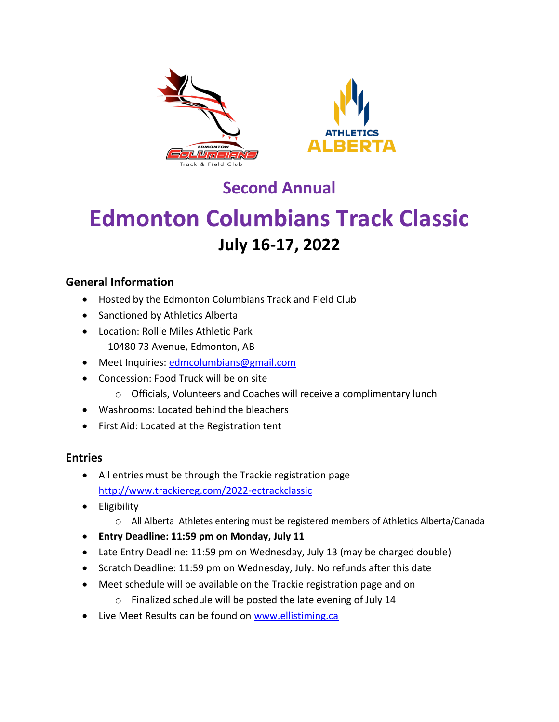



## **Second Annual**

# **Edmonton Columbians Track Classic July 16-17, 2022**

### **General Information**

- Hosted by the Edmonton Columbians Track and Field Club
- Sanctioned by Athletics Alberta
- Location: Rollie Miles Athletic Park 10480 73 Avenue, Edmonton, AB
- Meet Inquiries: [edmcolumbians@gmail.com](mailto:edmcolumbians@gmail.com)
- Concession: Food Truck will be on site
	- o Officials, Volunteers and Coaches will receive a complimentary lunch
- Washrooms: Located behind the bleachers
- First Aid: Located at the Registration tent

### **Entries**

- All entries must be through the Trackie registration page <http://www.trackiereg.com/2022-ectrackclassic>
- **•** Eligibility
	- o All Alberta Athletes entering must be registered members of Athletics Alberta/Canada
- **Entry Deadline: 11:59 pm on Monday, July 11**
- Late Entry Deadline: 11:59 pm on Wednesday, July 13 (may be charged double)
- Scratch Deadline: 11:59 pm on Wednesday, July. No refunds after this date
- Meet schedule will be available on the Trackie registration page and on
	- o Finalized schedule will be posted the late evening of July 14
- Live Meet Results can be found on [www.ellistiming.ca](http://www.ellistiming.ca/)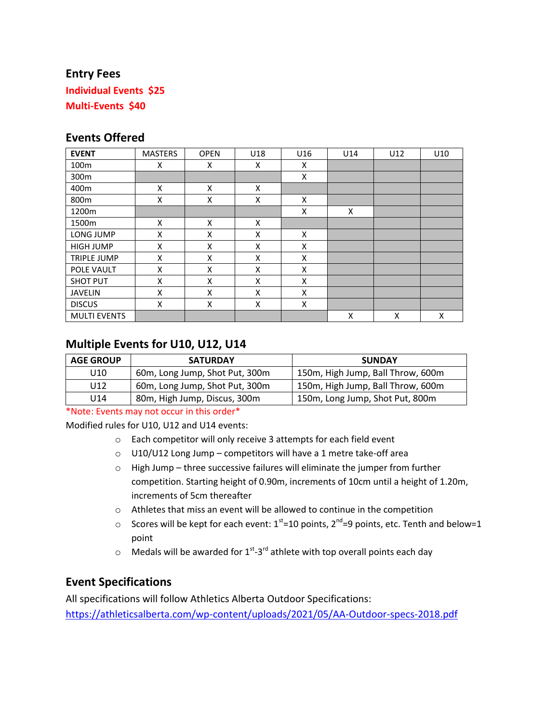### **Entry Fees**

**Individual Events \$25 Multi-Events \$40**

### **Events Offered**

| <b>EVENT</b>        | <b>MASTERS</b> | <b>OPEN</b> | U18 | U16 | U14 | U12 | U10 |
|---------------------|----------------|-------------|-----|-----|-----|-----|-----|
| 100 <sub>m</sub>    | X              | X           | X   | X   |     |     |     |
| 300m                |                |             |     | X   |     |     |     |
| 400 <sub>m</sub>    | X              | X           | X   |     |     |     |     |
| 800m                | X              | X           | X   | X   |     |     |     |
| 1200m               |                |             |     | X   | X   |     |     |
| 1500m               | X              | X           | X   |     |     |     |     |
| LONG JUMP           | X              | X           | X   | X   |     |     |     |
| <b>HIGH JUMP</b>    | X              | X           | X   | X   |     |     |     |
| <b>TRIPLE JUMP</b>  | X              | X           | X   | X   |     |     |     |
| POLE VAULT          | X              | X           | X   | X   |     |     |     |
| <b>SHOT PUT</b>     | X              | X           | X   | X   |     |     |     |
| <b>JAVELIN</b>      | X              | X           | X   | X   |     |     |     |
| <b>DISCUS</b>       | X              | X           | X   | X   |     |     |     |
| <b>MULTI EVENTS</b> |                |             |     |     | X   | X   | X   |

### **Multiple Events for U10, U12, U14**

| <b>AGE GROUP</b> | <b>SATURDAY</b>                | <b>SUNDAY</b>                     |  |  |
|------------------|--------------------------------|-----------------------------------|--|--|
| U10              | 60m, Long Jump, Shot Put, 300m | 150m, High Jump, Ball Throw, 600m |  |  |
| U12              | 60m, Long Jump, Shot Put, 300m | 150m, High Jump, Ball Throw, 600m |  |  |
| U14              | 80m, High Jump, Discus, 300m   | 150m, Long Jump, Shot Put, 800m   |  |  |

\*Note: Events may not occur in this order\*

Modified rules for U10, U12 and U14 events:

- o Each competitor will only receive 3 attempts for each field event
- o U10/U12 Long Jump competitors will have a 1 metre take-off area
- o High Jump three successive failures will eliminate the jumper from further competition. Starting height of 0.90m, increments of 10cm until a height of 1.20m, increments of 5cm thereafter
- o Athletes that miss an event will be allowed to continue in the competition
- $\circ$  Scores will be kept for each event: 1<sup>st</sup>=10 points, 2<sup>nd</sup>=9 points, etc. Tenth and below=1 point
- $\circ$  Medals will be awarded for 1<sup>st</sup>-3<sup>rd</sup> athlete with top overall points each day

### **Event Specifications**

All specifications will follow Athletics Alberta Outdoor Specifications: <https://athleticsalberta.com/wp-content/uploads/2021/05/AA-Outdoor-specs-2018.pdf>